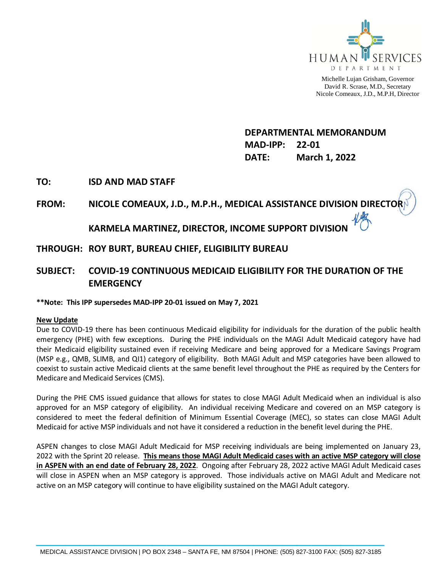

Michelle Lujan Grisham, Governor David R. Scrase, M.D., Secretary Nicole Comeaux, J.D., M.P.H, Director

**DEPARTMENTAL MEMORANDUM MAD-IPP: 22-01 DATE: March 1, 2022**

### **TO: ISD AND MAD STAFF**

# **FROM: NICOLE COMEAUX, J.D., M.P.H., MEDICAL ASSISTANCE DIVISION DIRECTOR**

# **KARMELA MARTINEZ, DIRECTOR, INCOME SUPPORT DIVISION**

## **THROUGH: ROY BURT, BUREAU CHIEF, ELIGIBILITY BUREAU**

# **SUBJECT: COVID-19 CONTINUOUS MEDICAID ELIGIBILITY FOR THE DURATION OF THE EMERGENCY**

#### **\*\*Note: This IPP supersedes MAD-IPP 20-01 issued on May 7, 2021**

#### **New Update**

Due to COVID-19 there has been continuous Medicaid eligibility for individuals for the duration of the public health emergency (PHE) with few exceptions. During the PHE individuals on the MAGI Adult Medicaid category have had their Medicaid eligibility sustained even if receiving Medicare and being approved for a Medicare Savings Program (MSP e.g., QMB, SLIMB, and QI1) category of eligibility. Both MAGI Adult and MSP categories have been allowed to coexist to sustain active Medicaid clients at the same benefit level throughout the PHE as required by the Centers for Medicare and Medicaid Services (CMS).

During the PHE CMS issued guidance that allows for states to close MAGI Adult Medicaid when an individual is also approved for an MSP category of eligibility. An individual receiving Medicare and covered on an MSP category is considered to meet the federal definition of Minimum Essential Coverage (MEC), so states can close MAGI Adult Medicaid for active MSP individuals and not have it considered a reduction in the benefit level during the PHE.

ASPEN changes to close MAGI Adult Medicaid for MSP receiving individuals are being implemented on January 23, 2022 with the Sprint 20 release. **This means those MAGI Adult Medicaid cases with an active MSP category will close in ASPEN with an end date of February 28, 2022**. Ongoing after February 28, 2022 active MAGI Adult Medicaid cases will close in ASPEN when an MSP category is approved. Those individuals active on MAGI Adult and Medicare not active on an MSP category will continue to have eligibility sustained on the MAGI Adult category.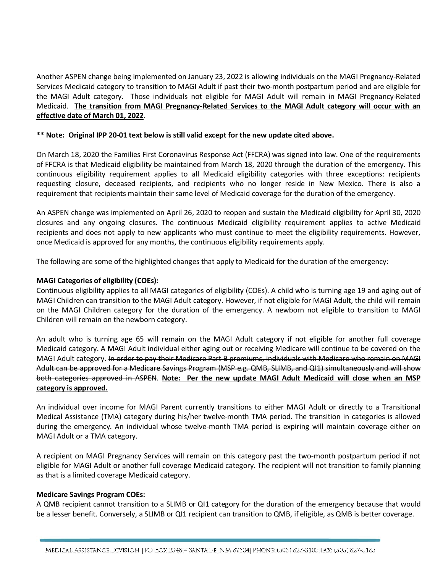Another ASPEN change being implemented on January 23, 2022 is allowing individuals on the MAGI Pregnancy-Related Services Medicaid category to transition to MAGI Adult if past their two-month postpartum period and are eligible for the MAGI Adult category. Those individuals not eligible for MAGI Adult will remain in MAGI Pregnancy-Related Medicaid. **The transition from MAGI Pregnancy-Related Services to the MAGI Adult category will occur with an effective date of March 01, 2022**.

#### **\*\* Note: Original IPP 20-01 text below is still valid except for the new update cited above.**

On March 18, 2020 the Families First Coronavirus Response Act (FFCRA) was signed into law. One of the requirements of FFCRA is that Medicaid eligibility be maintained from March 18, 2020 through the duration of the emergency. This continuous eligibility requirement applies to all Medicaid eligibility categories with three exceptions: recipients requesting closure, deceased recipients, and recipients who no longer reside in New Mexico. There is also a requirement that recipients maintain their same level of Medicaid coverage for the duration of the emergency.

An ASPEN change was implemented on April 26, 2020 to reopen and sustain the Medicaid eligibility for April 30, 2020 closures and any ongoing closures. The continuous Medicaid eligibility requirement applies to active Medicaid recipients and does not apply to new applicants who must continue to meet the eligibility requirements. However, once Medicaid is approved for any months, the continuous eligibility requirements apply.

The following are some of the highlighted changes that apply to Medicaid for the duration of the emergency:

#### **MAGI Categories of eligibility (COEs):**

Continuous eligibility applies to all MAGI categories of eligibility (COEs). A child who is turning age 19 and aging out of MAGI Children can transition to the MAGI Adult category. However, if not eligible for MAGI Adult, the child will remain on the MAGI Children category for the duration of the emergency. A newborn not eligible to transition to MAGI Children will remain on the newborn category.

An adult who is turning age 65 will remain on the MAGI Adult category if not eligible for another full coverage Medicaid category. A MAGI Adult individual either aging out or receiving Medicare will continue to be covered on the MAGI Adult category. In order to pay their Medicare Part B premiums, individuals with Medicare who remain on MAGI Adult can be approved for a Medicare Savings Program (MSP e.g. QMB, SLIMB, and QI1) simultaneously and will show both categories approved in ASPEN. **Note: Per the new update MAGI Adult Medicaid will close when an MSP category is approved.**

An individual over income for MAGI Parent currently transitions to either MAGI Adult or directly to a Transitional Medical Assistance (TMA) category during his/her twelve-month TMA period. The transition in categories is allowed during the emergency. An individual whose twelve-month TMA period is expiring will maintain coverage either on MAGI Adult or a TMA category.

A recipient on MAGI Pregnancy Services will remain on this category past the two-month postpartum period if not eligible for MAGI Adult or another full coverage Medicaid category. The recipient will not transition to family planning as that is a limited coverage Medicaid category.

#### **Medicare Savings Program COEs:**

A QMB recipient cannot transition to a SLIMB or QI1 category for the duration of the emergency because that would be a lesser benefit. Conversely, a SLIMB or QI1 recipient can transition to QMB, if eligible, as QMB is better coverage.